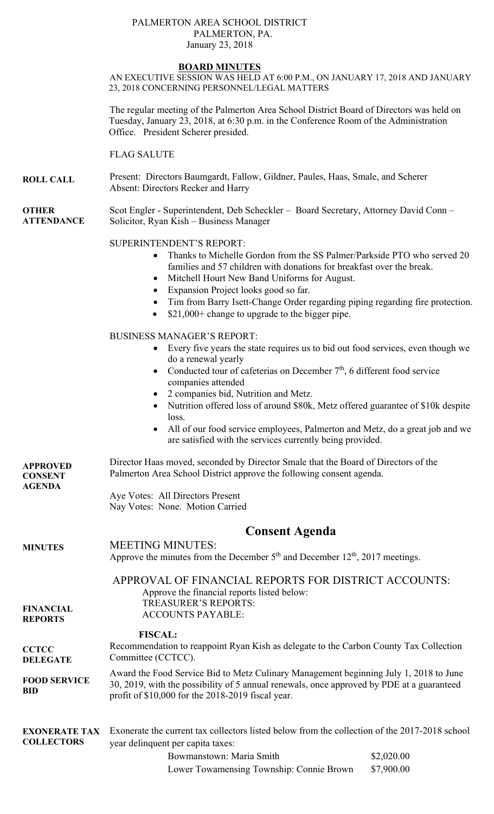## PALMERTON AREA SCHOOL DISTRICT PALMERTON, PA. January 23, 2018

## **BOARD MINUTES**

AN EXECUTIVE SESSION WAS HELD AT 6:00 P.M., ON JANUARY 17, 2018 AND JANUARY 23, 2018 CONCERNING PERSONNEL/LEGAL MATTERS

The regular meeting of the Palmerton Area School District Board of Directors was held on Tuesday, January 23, 2018, at 6:30 p.m. in the Conference Room of the Administration Office. President Scherer presided.

FLAG SALUTE

**ROLL CALL**  Present: Directors Baumgardt, Fallow, Gildner, Paules, Haas, Smale, and Scherer Absent: Directors Recker and Harry

**OTHER ATTENDANCE**  Scot Engler - Superintendent, Deb Scheckler – Board Secretary, Attorney David Conn – Solicitor, Ryan Kish – Business Manager

## SUPERINTENDENT'S REPORT:

- Thanks to Michelle Gordon from the SS Palmer/Parkside PTO who served 20 families and 57 children with donations for breakfast over the break.
- Mitchell Hourt New Band Uniforms for August.
- Expansion Project looks good so far.
- Tim from Barry Isett-Change Order regarding piping regarding fire protection.
- \$21,000+ change to upgrade to the bigger pipe.

## BUSINESS MANAGER'S REPORT:

- Every five years the state requires us to bid out food services, even though we do a renewal yearly
- Conducted tour of cafeterias on December  $7<sup>th</sup>$ , 6 different food service companies attended
- 2 companies bid, Nutrition and Metz.
- Nutrition offered loss of around \$80k, Metz offered guarantee of \$10k despite loss.
- All of our food service employees, Palmerton and Metz, do a great job and we are satisfied with the services currently being provided.

| APPROVED<br>CONSENT<br>AGENDA | Director Haas moved, seconded by Director Smale that the Board of Directors of the<br>Palmerton Area School District approve the following consent agenda. |
|-------------------------------|------------------------------------------------------------------------------------------------------------------------------------------------------------|
|                               | Aye Votes: All Directors Present                                                                                                                           |

Nay Votes: None. Motion Carried

|                                           | <b>Consent Agenda</b>                                                                                                                                                                                                                   |                          |
|-------------------------------------------|-----------------------------------------------------------------------------------------------------------------------------------------------------------------------------------------------------------------------------------------|--------------------------|
| <b>MINUTES</b>                            | <b>MEETING MINUTES:</b><br>Approve the minutes from the December $5th$ and December 12 <sup>th</sup> , 2017 meetings.                                                                                                                   |                          |
| <b>FINANCIAL</b><br><b>REPORTS</b>        | APPROVAL OF FINANCIAL REPORTS FOR DISTRICT ACCOUNTS:<br>Approve the financial reports listed below:<br><b>TREASURER'S REPORTS:</b><br><b>ACCOUNTS PAYABLE:</b>                                                                          |                          |
| <b>CCTCC</b><br><b>DELEGATE</b>           | <b>FISCAL:</b><br>Recommendation to reappoint Ryan Kish as delegate to the Carbon County Tax Collection<br>Committee (CCTCC).                                                                                                           |                          |
| <b>FOOD SERVICE</b><br><b>BID</b>         | Award the Food Service Bid to Metz Culinary Management beginning July 1, 2018 to June<br>30, 2019, with the possibility of 5 annual renewals, once approved by PDE at a guaranteed<br>profit of \$10,000 for the 2018-2019 fiscal year. |                          |
| <b>EXONERATE TAX</b><br><b>COLLECTORS</b> | Exonerate the current tax collectors listed below from the collection of the 2017-2018 school<br>year delinquent per capita taxes:<br>Bowmanstown: Maria Smith<br>Lower Towamensing Township: Connie Brown                              | \$2,020.00<br>\$7,900.00 |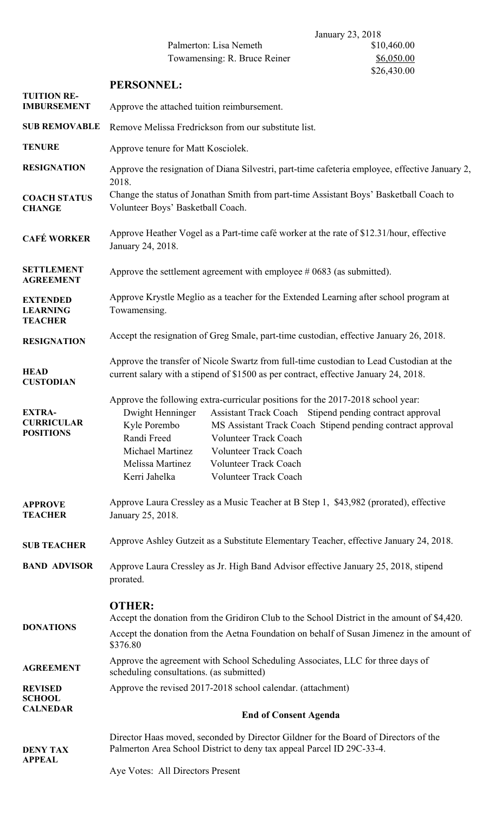Palmerton: Lisa Nemeth Towamensing: R. Bruce Reiner \$6,050.00

|                                                        | <b>PERSONNEL:</b>                                                                                                                                                                                                                                                                                                                                                                                                                             |  |
|--------------------------------------------------------|-----------------------------------------------------------------------------------------------------------------------------------------------------------------------------------------------------------------------------------------------------------------------------------------------------------------------------------------------------------------------------------------------------------------------------------------------|--|
| <b>TUITION RE-</b><br><b>IMBURSEMENT</b>               | Approve the attached tuition reimbursement.                                                                                                                                                                                                                                                                                                                                                                                                   |  |
| <b>SUB REMOVABLE</b>                                   | Remove Melissa Fredrickson from our substitute list.                                                                                                                                                                                                                                                                                                                                                                                          |  |
| <b>TENURE</b>                                          | Approve tenure for Matt Kosciolek.                                                                                                                                                                                                                                                                                                                                                                                                            |  |
| <b>RESIGNATION</b>                                     | Approve the resignation of Diana Silvestri, part-time cafeteria employee, effective January 2,<br>2018.                                                                                                                                                                                                                                                                                                                                       |  |
| <b>COACH STATUS</b><br><b>CHANGE</b>                   | Change the status of Jonathan Smith from part-time Assistant Boys' Basketball Coach to<br>Volunteer Boys' Basketball Coach.                                                                                                                                                                                                                                                                                                                   |  |
| <b>CAFÉ WORKER</b>                                     | Approve Heather Vogel as a Part-time café worker at the rate of \$12.31/hour, effective<br>January 24, 2018.                                                                                                                                                                                                                                                                                                                                  |  |
| <b>SETTLEMENT</b><br><b>AGREEMENT</b>                  | Approve the settlement agreement with employee $\#0683$ (as submitted).                                                                                                                                                                                                                                                                                                                                                                       |  |
| <b>EXTENDED</b><br><b>LEARNING</b><br><b>TEACHER</b>   | Approve Krystle Meglio as a teacher for the Extended Learning after school program at<br>Towamensing.                                                                                                                                                                                                                                                                                                                                         |  |
| <b>RESIGNATION</b>                                     | Accept the resignation of Greg Smale, part-time custodian, effective January 26, 2018.                                                                                                                                                                                                                                                                                                                                                        |  |
| <b>HEAD</b><br><b>CUSTODIAN</b>                        | Approve the transfer of Nicole Swartz from full-time custodian to Lead Custodian at the<br>current salary with a stipend of \$1500 as per contract, effective January 24, 2018.                                                                                                                                                                                                                                                               |  |
| <b>EXTRA-</b><br><b>CURRICULAR</b><br><b>POSITIONS</b> | Approve the following extra-curricular positions for the 2017-2018 school year:<br>Dwight Henninger<br>Assistant Track Coach Stipend pending contract approval<br>Kyle Porembo<br>MS Assistant Track Coach Stipend pending contract approval<br>Randi Freed<br>Volunteer Track Coach<br>Michael Martinez<br><b>Volunteer Track Coach</b><br>Melissa Martinez<br><b>Volunteer Track Coach</b><br>Kerri Jahelka<br><b>Volunteer Track Coach</b> |  |
| <b>APPROVE</b><br><b>TEACHER</b>                       | Approve Laura Cressley as a Music Teacher at B Step 1, \$43,982 (prorated), effective<br>January 25, 2018.                                                                                                                                                                                                                                                                                                                                    |  |
| <b>SUB TEACHER</b>                                     | Approve Ashley Gutzeit as a Substitute Elementary Teacher, effective January 24, 2018.                                                                                                                                                                                                                                                                                                                                                        |  |
| <b>BAND ADVISOR</b>                                    | Approve Laura Cressley as Jr. High Band Advisor effective January 25, 2018, stipend<br>prorated.                                                                                                                                                                                                                                                                                                                                              |  |
| <b>DONATIONS</b>                                       | <b>OTHER:</b><br>Accept the donation from the Gridiron Club to the School District in the amount of \$4,420.<br>Accept the donation from the Aetna Foundation on behalf of Susan Jimenez in the amount of<br>\$376.80                                                                                                                                                                                                                         |  |
| <b>AGREEMENT</b>                                       | Approve the agreement with School Scheduling Associates, LLC for three days of<br>scheduling consultations. (as submitted)                                                                                                                                                                                                                                                                                                                    |  |
| <b>REVISED</b><br><b>SCHOOL</b><br><b>CALNEDAR</b>     | Approve the revised 2017-2018 school calendar. (attachment)                                                                                                                                                                                                                                                                                                                                                                                   |  |
|                                                        | <b>End of Consent Agenda</b>                                                                                                                                                                                                                                                                                                                                                                                                                  |  |
| <b>DENY TAX</b><br><b>APPEAL</b>                       | Director Haas moved, seconded by Director Gildner for the Board of Directors of the<br>Palmerton Area School District to deny tax appeal Parcel ID 29C-33-4.                                                                                                                                                                                                                                                                                  |  |
|                                                        | Aye Votes: All Directors Present                                                                                                                                                                                                                                                                                                                                                                                                              |  |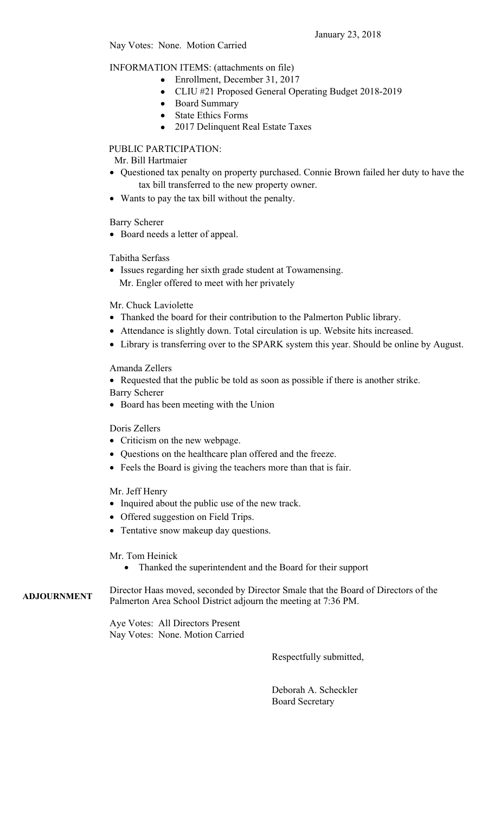January 23, 2018

INFORMATION ITEMS: (attachments on file)

- Enrollment, December 31, 2017
- CLIU #21 Proposed General Operating Budget 2018-2019
- Board Summary
- State Ethics Forms
- 2017 Delinquent Real Estate Taxes

PUBLIC PARTICIPATION:

Mr. Bill Hartmaier

- Questioned tax penalty on property purchased. Connie Brown failed her duty to have the tax bill transferred to the new property owner.
- Wants to pay the tax bill without the penalty.

Barry Scherer

Board needs a letter of appeal.

Tabitha Serfass

 Issues regarding her sixth grade student at Towamensing. Mr. Engler offered to meet with her privately

Mr. Chuck Laviolette

- Thanked the board for their contribution to the Palmerton Public library.
- Attendance is slightly down. Total circulation is up. Website hits increased.
- Library is transferring over to the SPARK system this year. Should be online by August.

Amanda Zellers

Requested that the public be told as soon as possible if there is another strike.

Barry Scherer

• Board has been meeting with the Union

Doris Zellers

- Criticism on the new webpage.
- Questions on the healthcare plan offered and the freeze.
- Feels the Board is giving the teachers more than that is fair.

Mr. Jeff Henry

- Inquired about the public use of the new track.
- Offered suggestion on Field Trips.
- Tentative snow makeup day questions.

Mr. Tom Heinick

Thanked the superintendent and the Board for their support

**ADJOURNMENT**  Director Haas moved, seconded by Director Smale that the Board of Directors of the Palmerton Area School District adjourn the meeting at 7:36 PM.

> Aye Votes: All Directors Present Nay Votes: None. Motion Carried

> > Respectfully submitted,

 Deborah A. Scheckler Board Secretary